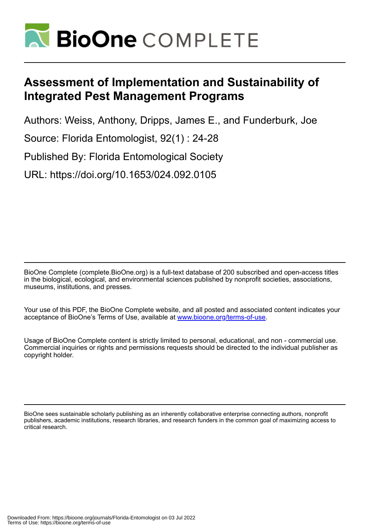

# **Assessment of Implementation and Sustainability of Integrated Pest Management Programs**

Authors: Weiss, Anthony, Dripps, James E., and Funderburk, Joe

Source: Florida Entomologist, 92(1) : 24-28

Published By: Florida Entomological Society

URL: https://doi.org/10.1653/024.092.0105

BioOne Complete (complete.BioOne.org) is a full-text database of 200 subscribed and open-access titles in the biological, ecological, and environmental sciences published by nonprofit societies, associations, museums, institutions, and presses.

Your use of this PDF, the BioOne Complete website, and all posted and associated content indicates your acceptance of BioOne's Terms of Use, available at www.bioone.org/terms-of-use.

Usage of BioOne Complete content is strictly limited to personal, educational, and non - commercial use. Commercial inquiries or rights and permissions requests should be directed to the individual publisher as copyright holder.

BioOne sees sustainable scholarly publishing as an inherently collaborative enterprise connecting authors, nonprofit publishers, academic institutions, research libraries, and research funders in the common goal of maximizing access to critical research.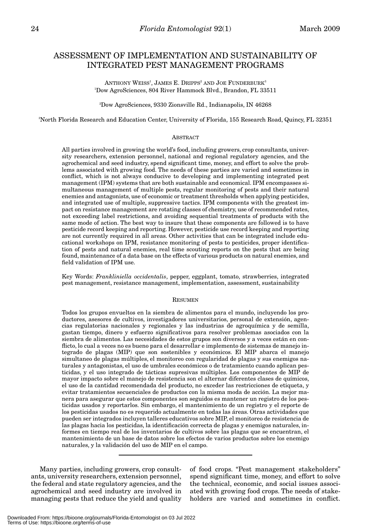## ASSESSMENT OF IMPLEMENTATION AND SUSTAINABILITY OF INTEGRATED PEST MANAGEMENT PROGRAMS

ANTHONY WEISS<sup>1</sup>, JAMES E. DRIPPS<sup>2</sup> AND JOE FUNDERBURK<sup>3</sup> 1 Dow AgroSciences, 804 River Hammock Blvd., Brandon, FL 33511

2 Dow AgroSciences, 9330 Zionsville Rd., Indianapolis, IN 46268

3 North Florida Research and Education Center, University of Florida, 155 Research Road, Quincy, FL 32351

### **ABSTRACT**

All parties involved in growing the world's food, including growers, crop consultants, university researchers, extension personnel, national and regional regulatory agencies, and the agrochemical and seed industry, spend significant time, money, and effort to solve the problems associated with growing food. The needs of these parties are varied and sometimes in conflict, which is not always conducive to developing and implementing integrated pest management (IPM) systems that are both sustainable and economical. IPM encompasses simultaneous management of multiple pests, regular monitoring of pests and their natural enemies and antagonists, use of economic or treatment thresholds when applying pesticides, and integrated use of multiple, suppressive tactics. IPM components with the greatest impact on resistance management are rotating classes of chemistry, use of recommended rates, not exceeding label restrictions, and avoiding sequential treatments of products with the same mode of action. The best way to insure that these components are followed is to have pesticide record keeping and reporting. However, pesticide use record keeping and reporting are not currently required in all areas. Other activities that can be integrated include educational workshops on IPM, resistance monitoring of pests to pesticides, proper identification of pests and natural enemies, real time scouting reports on the pests that are being found, maintenance of a data base on the effects of various products on natural enemies, and field validation of IPM use.

Key Words: *Frankliniella occidentalis*, pepper, eggplant, tomato, strawberries, integrated pest management, resistance management, implementation, assessment, sustainability

#### **RESUMEN**

Todos los grupos envueltos en la siembra de alimentos para el mundo, incluyendo los productores, asesores de cultivos, investigadores universitarios, personal de extensión, agencias regulatorias nacionales y regionales y las industrias de agroquímica y de semilla, gastan tiempo, dinero y esfuerzo significativos para resolver problemas asociados con la siembra de alimentos. Las necesidades de estos grupos son diversos y a veces están en conflicto, lo cual a veces no es bueno para el desarrollar e implemento de sistemas de manejo integrado de plagas (MIP) que son sostenibles y económicos. El MIP abarca el manejo simultaneo de plagas múltiples, el monitoreo con regularidad de plagas y sus enemigos naturales y antagonistas, el uso de umbrales económicos o de tratamiento cuando aplican pesticidas, y el uso integrado de tácticas supresivas múltiples. Los componentes de MIP de mayor impacto sobre el manejo de resistencia son el alternar diferentes clases de químicos, el uso de la cantidad recomendada del producto, no exceder las restricciones de etiqueta, y evitar tratamientos secuenciales de productos con la misma moda de acción. La mejor manera para asegurar que estos componentes son seguidos es mantener un registro de los pesticidas usados y reportarlos. Sin embargo, el mantenimiento de un registro y el reporte de los pesticidas usados no es requerido actualmente en todas las áreas. Otras actividades que pueden ser integrados incluyen talleres educativos sobre MIP, el monitoreo de resistencia de las plagas hacia los pesticidas, la identificación correcta de plagas y enemigos naturales, informes en tiempo real de los inventarios de cultivos sobre las plagas que se encuentran, el mantenimiento de un base de datos sobre los efectos de varios productos sobre los enemigo naturales, y la validación del uso de MIP en el campo.

Many parties, including growers, crop consultants, university researchers, extension personnel, the federal and state regulatory agencies, and the agrochemical and seed industry are involved in managing pests that reduce the yield and quality of food crops. "Pest management stakeholders" spend significant time, money, and effort to solve the technical, economic, and social issues associated with growing food crops. The needs of stakeholders are varied and sometimes in conflict.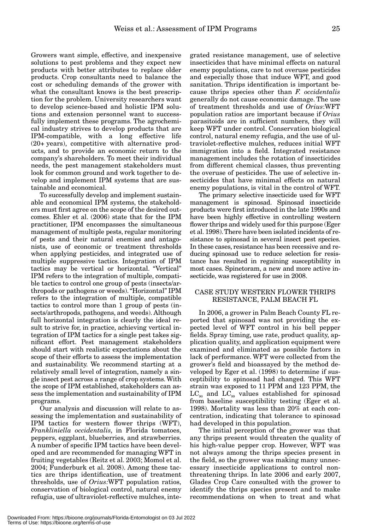Growers want simple, effective, and inexpensive solutions to pest problems and they expect new products with better attributes to replace older products. Crop consultants need to balance the cost or scheduling demands of the grower with what the consultant knows is the best prescription for the problem. University researchers want to develop science-based and holistic IPM solutions and extension personnel want to successfully implement these programs. The agrochemical industry strives to develop products that are IPM-compatible, with a long effective life (20+ years), competitive with alternative products, and to provide an economic return to the company's shareholders. To meet their individual needs, the pest management stakeholders must look for common ground and work together to develop and implement IPM systems that are sustainable and economical.

To successfully develop and implement sustainable and economical IPM systems, the stakeholders must first agree on the scope of the desired outcomes. Ehler et al. (2006) state that for the IPM practitioner, IPM encompasses the simultaneous management of multiple pests, regular monitoring of pests and their natural enemies and antagonists, use of economic or treatment thresholds when applying pesticides, and integrated use of multiple suppressive tactics. Integration of IPM tactics may be vertical or horizontal. "Vertical" IPM refers to the integration of multiple, compatible tactics to control one group of pests (insects/arthropods or pathogens or weeds). "Horizontal" IPM refers to the integration of multiple, compatible tactics to control more than 1 group of pests (insects/arthropods, pathogens, and weeds). Although full horizontal integration is clearly the ideal result to strive for, in practice, achieving vertical integration of IPM tactics for a single pest takes significant effort. Pest management stakeholders should start with realistic expectations about the scope of their efforts to assess the implementation and sustainability. We recommend starting at a relatively small level of integration, namely a single insect pest across a range of crop systems. With the scope of IPM established, stakeholders can assess the implementation and sustainability of IPM programs.

Our analysis and discussion will relate to assessing the implementation and sustainability of IPM tactics for western flower thrips (WFT), *Frankliniella occidentalis*, in Florida tomatoes, peppers, eggplant, blueberries, and strawberries. A number of specific IPM tactics have been developed and are recommended for managing WFT in fruiting vegetables (Reitz et al. 2003; Momol et al. 2004; Funderburk et al. 2008). Among these tactics are thrips identification, use of treatment thresholds, use of *Orius:*WFT population ratios, conservation of biological control, natural enemy refugia, use of ultraviolet-reflective mulches, inte-

grated resistance management, use of selective insecticides that have minimal effects on natural enemy populations, care to not overuse pesticides and especially those that induce WFT, and good sanitation. Thrips identification is important because thrips species other than *F. occidentalis* generally do not cause economic damage. The use of treatment thresholds and use of *Orius*:WFT population ratios are important because if *Orius* parasitoids are in sufficient numbers, they will keep WFT under control. Conservation biological control, natural enemy refugia, and the use of ultraviolet-reflective mulches, reduces initial WFT immigration into a field. Integrated resistance management includes the rotation of insecticides from different chemical classes, thus preventing the overuse of pesticides. The use of selective insecticides that have minimal effects on natural enemy populations, is vital in the control of WFT.

The primary selective insecticide used for WFT management is spinosad. Spinosad insecticide products were first introduced in the late 1990s and have been highly effective in controlling western flower thrips and widely used for this purpose (Eger et al. 1998). There have been isolated incidents of resistance to spinosad in several insect pest species. In these cases, resistance has been recessive and reducing spinosad use to reduce selection for resistance has resulted in regaining susceptibility in most cases. Spinetoram, a new and more active insecticide, was registered for use in 2008.

## CASE STUDY WESTERN FLOWER THRIPS RESISTANCE, PALM BEACH FL

In 2006, a grower in Palm Beach County FL reported that spinosad was not providing the expected level of WFT control in his bell pepper fields. Spray timing, use rate, product quality, application quality, and application equipment were examined and eliminated as possible factors in lack of performance. WFT were collected from the grower's field and bioassayed by the method developed by Eger et al. (1998) to determine if susceptibility to spinosad had changed. This WFT strain was exposed to 11 PPM and 123 PPM, the  $LC_{90}$  and  $LC_{99}$  values established for spinosad from baseline susceptibility testing (Eger et al. 1998). Mortality was less than 20% at each concentration, indicating that tolerance to spinosad had developed in this population.

The initial perception of the grower was that any thrips present would threaten the quality of his high-value pepper crop. However, WFT was not always among the thrips species present in the field, so the grower was making many unnecessary insecticide applications to control nonthreatening thrips. In late 2006 and early 2007, Glades Crop Care consulted with the grower to identify the thrips species present and to make recommendations on when to treat and what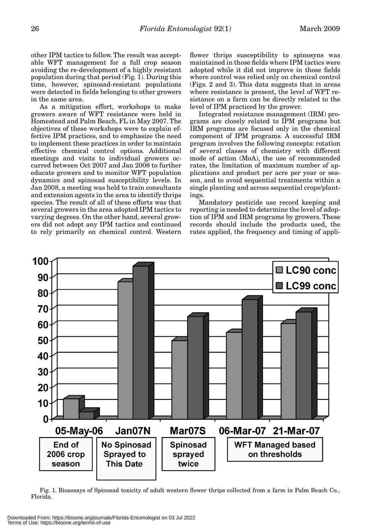other IPM tactics to follow. The result was acceptable WFT management for a full crop season avoiding the re-development of a highly resistant population during that period (Fig. 1). During this time, however, spinosad-resistant populations were detected in fields belonging to other growers in the same area.

As a mitigation effort, workshops to make growers aware of WFT resistance were held in Homestead and Palm Beach, FL in May 2007. The objectives of these workshops were to explain effective IPM practices, and to emphasize the need to implement these practices in order to maintain effective chemical control options. Additional meetings and visits to individual growers occurred between Oct 2007 and Jan 2008 to further educate growers and to monitor WFT population dynamics and spinosad susceptibility levels. In Jan 2008, a meeting was held to train consultants and extension agents in the area to identify thrips species. The result of all of these efforts was that several growers in the area adopted IPM tactics to varying degrees. On the other hand, several growers did not adopt any IPM tactics and continued to rely primarily on chemical control. Western

flower thrips susceptibility to spinosyns was maintained in those fields where IPM tactics were adopted while it did not improve in those fields where control was relied only on chemical control (Figs. 2 and 3). This data suggests that in areas where resistance is present, the level of WFT resistance on a farm can be directly related to the level of IPM practiced by the grower.

Integrated resistance management (IRM) programs are closely related to IPM programs but IRM programs are focused only in the chemical component of IPM programs. A successful IRM program involves the following concepts: rotation of several classes of chemistry with different mode of action (MoA), the use of recommended rates, the limitation of maximum number of applications and product per acre per year or season, and to avoid sequential treatments within a single planting and across sequential crops/plantings.

Mandatory pesticide use record keeping and reporting is needed to determine the level of adoption of IPM and IRM programs by growers. These records should include the products used, the rates applied, the frequency and timing of appli-



Fig. 1. Bioassays of Spinosad toxicity of adult western flower thrips collected from a farm in Palm Beach Co., Florida.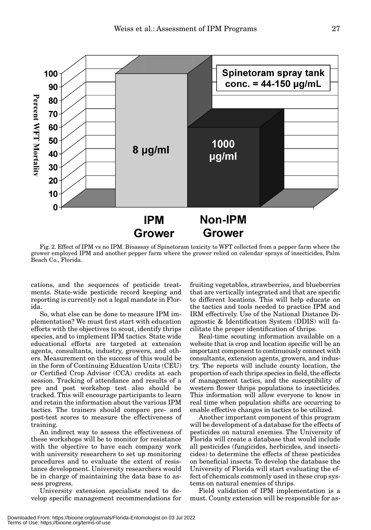

Fig. 2. Effect of IPM vs no IPM. Bioassay of Spinetoram toxicity to WFT collected from a pepper farm where the grower employed IPM and another pepper farm where the grower relied on calendar sprays of insecticides, Palm Beach Co., Florida.

cations, and the sequences of pesticide treatments. State-wide pesticide record keeping and reporting is currently not a legal mandate in Florida.

So, what else can be done to measure IPM implementation? We must first start with education efforts with the objectives to scout, identify thrips species, and to implement IPM tactics. State wide educational efforts are targeted at extension agents, consultants, industry, growers, and others. Measurement on the success of this would be in the form of Continuing Education Units (CEU) or Certified Crop Advisor (CCA) credits at each session. Tracking of attendance and results of a pre and post workshop test also should be tracked. This will encourage participants to learn and retain the information about the various IPM tactics. The trainers should compare pre- and post-test scores to measure the effectiveness of training.

An indirect way to assess the effectiveness of these workshops will be to monitor for resistance with the objective to have each company work with university researchers to set up monitoring procedures and to evaluate the extent of resistance development. University researchers would be in charge of maintaining the data base to assess progress.

University extension specialists need to develop specific management recommendations for fruiting vegetables, strawberries, and blueberries that are vertically integrated and that are specific to different locations. This will help educate on the tactics and tools needed to practice IPM and IRM effectively. Use of the National Distance Diagnostic & Identification System (DDIS) will facilitate the proper identification of thrips.

Real-time scouting information available on a website that is crop and location specific will be an important component to continuously connect with consultants, extension agents, growers, and industry. The reports will include county location, the proportion of each thrips species in field, the effects of management tactics, and the susceptibility of western flower thrips populations to insecticides. This information will allow everyone to know in real time when population shifts are occurring to enable effective changes in tactics to be utilized.

Another important component of this program will be development of a database for the effects of pesticides on natural enemies. The University of Florida will create a database that would include all pesticides (fungicides, herbicides, and insecticides) to determine the effects of these pesticides on beneficial insects. To develop the database the University of Florida will start evaluating the effect of chemicals commonly used in these crop systems on natural enemies of thrips.

Field validation of IPM implementation is a must. County extension will be responsible for as-